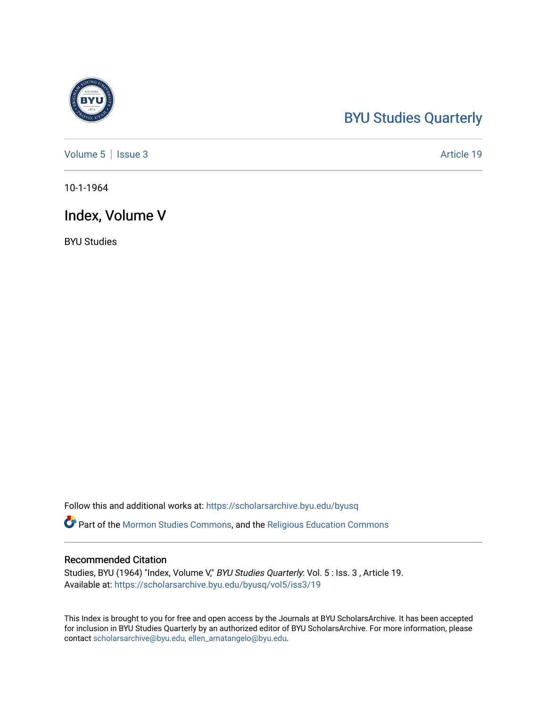#### [BYU Studies Quarterly](https://scholarsarchive.byu.edu/byusq)

[Volume 5](https://scholarsarchive.byu.edu/byusq/vol5) | [Issue 3](https://scholarsarchive.byu.edu/byusq/vol5/iss3) Article 19

10-1-1964

#### Index, Volume V

BYU Studies

Follow this and additional works at: [https://scholarsarchive.byu.edu/byusq](https://scholarsarchive.byu.edu/byusq?utm_source=scholarsarchive.byu.edu%2Fbyusq%2Fvol5%2Fiss3%2F19&utm_medium=PDF&utm_campaign=PDFCoverPages) 

Part of the [Mormon Studies Commons](http://network.bepress.com/hgg/discipline/1360?utm_source=scholarsarchive.byu.edu%2Fbyusq%2Fvol5%2Fiss3%2F19&utm_medium=PDF&utm_campaign=PDFCoverPages), and the [Religious Education Commons](http://network.bepress.com/hgg/discipline/1414?utm_source=scholarsarchive.byu.edu%2Fbyusq%2Fvol5%2Fiss3%2F19&utm_medium=PDF&utm_campaign=PDFCoverPages) 

#### Recommended Citation

Studies, BYU (1964) "Index, Volume V," BYU Studies Quarterly: Vol. 5 : Iss. 3, Article 19. Available at: [https://scholarsarchive.byu.edu/byusq/vol5/iss3/19](https://scholarsarchive.byu.edu/byusq/vol5/iss3/19?utm_source=scholarsarchive.byu.edu%2Fbyusq%2Fvol5%2Fiss3%2F19&utm_medium=PDF&utm_campaign=PDFCoverPages)

This Index is brought to you for free and open access by the Journals at BYU ScholarsArchive. It has been accepted for inclusion in BYU Studies Quarterly by an authorized editor of BYU ScholarsArchive. For more information, please contact [scholarsarchive@byu.edu, ellen\\_amatangelo@byu.edu](mailto:scholarsarchive@byu.edu,%20ellen_amatangelo@byu.edu).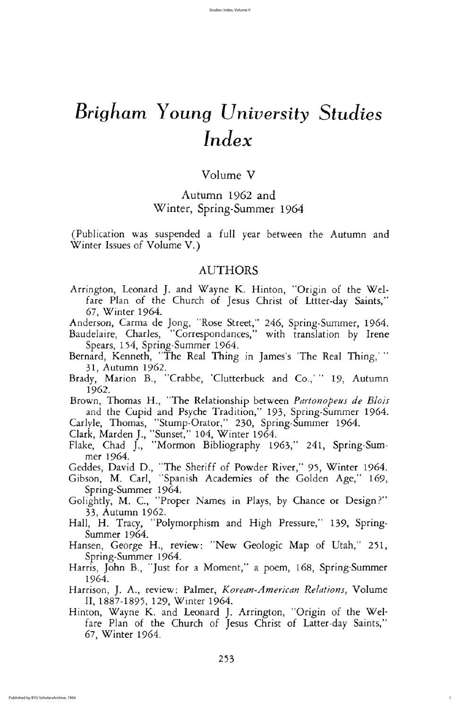volume V

## Autumn 1962 and Winter, Spring-Summer 1964

(Publication was suspended a full year between the Autumn and Winter Issues of Volume V.)

#### AUTHORS

Arrington, Leonard J. and Wayne K. Hinton, "Origin of the Welfare Plan of the Church of Jesus Christ of Lttter-day Saints," 67, Winter 1964.

Anderson, Carma de Jong, "Rose Street," 246, Spring-Summer, 1964. Baudelaire, Charles, "Correspondances," with translation by Irene Spears, 154, Spring-Summer 1964.

Bernard, Kenneth, "The Real Thing in James's 'The Real Thing,'"

- 31, Autumn 1962.
- Brady, Marion B., "Crabbe, 'Clutterbuck and Co.,' " 19, Autumn 1962
- Brown, Thomas H., "The Relationship between Partonopeus de Blois and the Cupid and Psyche Tradition," 193, Spring-Summer 1964.
- Carlyle, Thomas, "Stump-Orator," 230, Spring-Summer 1964.
- Clark, Marden J., "Sunset," 104, Winter 1964.
- Flake, Chad J., "Mormon Bibliography 1963," 241, Spring-Summer 1964
- Geddes, David D., "The Sheriff of Powder River," 95, Winter 1964.
- Gibson, M. Carl, "Spanish Academies of the Golden Age," 169, Spring-Summer 1964.
- Golightly, M. C., "Proper Names in Plays, by Chance or Design?" 33, Autumn 1962.
- Hall, H. Tracy, "Polymorphism and High Pressure," 139, Springsummer 1964
- Hansen, George H., review: "New Geologic Map of Utah," 251, Spring-Summer 1964.
- Harris, John B., "Just for a Moment," a poem, 168, Spring-Summer 1964
- Harrison, J. A., review: Palmer, Korean-American Relations, Volume II, 1887-1895, 129, Winter 1964.
- Hinton, Wayne K. and Leonard J. Arrington, "Origin of the Welfare Plan of the Church of Jesus Christ of Latter-day Saints," 67, Winter 1964.

1

# Brigham Young University Studies  $Index$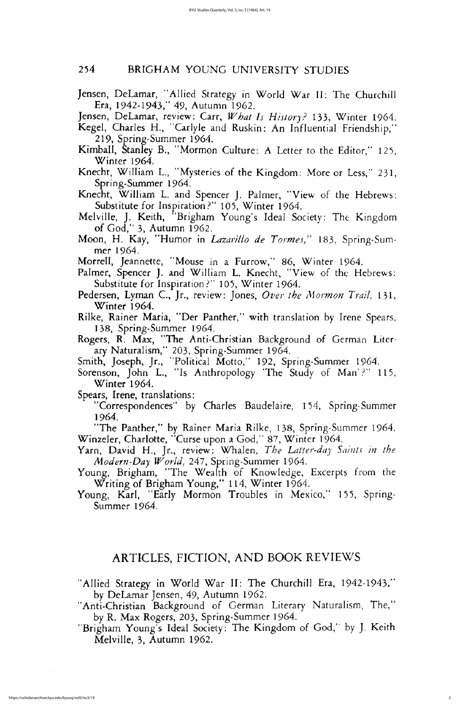#### <sup>254</sup> BRIGHAM YOUNG university STUDIES

- Jensen, DeLamar, "Allied Strategy in World War II: The Churchill Era, 1942-1943," 49, Autumn 1962.
- Jensen, DeLamar, review: Carr, What Is History? 133, Winter 1964.
- Kegel, Charles H., "Carlyle and Ruskin: An Influential Friendship," 219, Spring-Summer 1964.
- Kimball, Stanley B., "Mormon Culture: A Letter to the Editor," 125, Winter 1964.
- Knecht, William L., "Mysteries of the Kingdom: More or Less," 231, Spring-Summer 1964.
- Knecht, William L. and Spencer J. Palmer, "View of the Hebrews: Substitute for Inspiration?" 105, Winter 1964.
- Melville, J. Keith, "Brigham Young's Ideal Society: The Kingdom of  $God,$ " 3, Autumn 1962.
- Moon, H. Kay, "Humor in *Lazarillo de Tormes,"* 183, Spring-Summer 1964
- Morrell, Jeannette, "Mouse in a Furrow," 86, Winter 1964.
- Palmer, Spencer J. and William L. Knecht, "View of the Hebrews: Substitute for Inspiration ?" 105, Winter 1964.
- Pedersen, Lyman C., Jr., review: Jones, Over the Mormon Trail, 131, Winter 1964.
- Rilke, Rainer Maria, "Der Panther," with translation by Irene Spears, 138, Spring-Summer 1964.
- Rogers, R. Max, "The Anti-Christian Background of German Literary Naturalism," 203, Spring-Summer 1964.
- 

Smith, Joseph, Jr., "Political Motto," 192, Spring-Summer 1964. Sorenson, John L., "Is Anthropology 'The Study of Man'?" 115,

Winter 1964.

Spears, Irene, translations:

"Correspondences" by Charles Baudelaire, 154, Spring-Summer 1964

"The Panther," by Rainer Maria Rilke, 138, Spring-Summer 1964. Winzeler, Charlotte, "Curse upon a God," 87, Winter 1964.

Yarn, David H., Jr., review: Whalen, The Latter-day Saints in the Modern-Day World, 247, Spring-Summer 1964.

Young, Brigham, "The Wealth of Knowledge, Excerpts from the Writing of Brigham Young," 114, Winter 1964.

Young, Karl, "Early Mormon Troubles in Mexico," 155, Spring-Summer 1964.

## ARTICLES, FICTION, AND BOOK REVIEWS

"Allied Strategy in World War II: The Churchill Era, 1942-1943," by DeLamar Jensen, 49, Autumn 1962.

"Anti-Christian Background of German Literary Naturalism, The," by R. Max Rogers, 203, Spring-Summer 1964.

"Brigham Young's Ideal Society: The Kingdom of God," by J. Keith Melville, 3, Autumn 1962.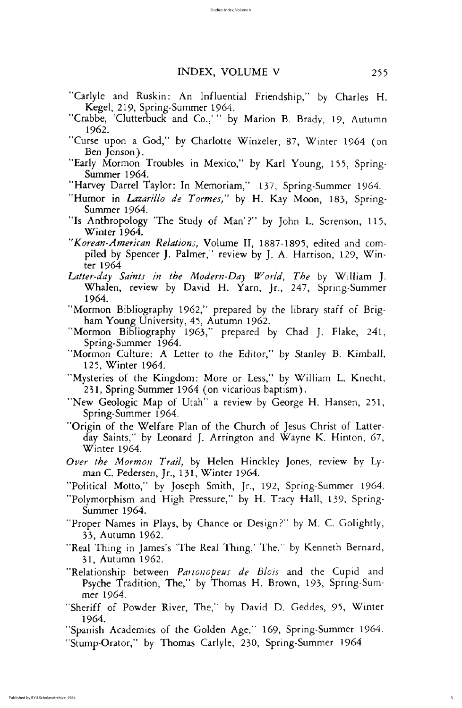### INDEX, VOLUME V 255

- "Carlyle and Ruskin: An Influential Friendship," by Charles H. Kegel, 219, Spring-Summer 1964.
- "Crabbe, 'Clutterbuck and Co.,'" by Marion B. Brady, 19, Autumn 1962
- "Curse upon a God," by Charlotte Winzeler, 87, Winter 1964 (on Ben Jonson).
- "Early Mormon Troubles in Mexico," by Karl Young, 155, Springsummer 1964
- "Harvey Darrel Taylor: In Memoriam," 137, Spring-Summer 1964.
- "Humor in Lazarillo de Tormes," by H. Kay Moon, 183, Springsummer 1964
- "Is Anthropology 'The Study of Man'?" by John L. Sorenson, 115, Winter 1964.
- "Korean-American Relations, Volume II, 1887-1895, edited and compiled by Spencer J. Palmer," review by J. A. Harrison, 129, Winter 1964
- Latter-day Saints in the Modern-Day World, The by William J. Whalen, review by David H. Yarn, Jr., 247, Spring-Summer 1964
- "Mormon Bibliography 1962," prepared by the library staff of Brigham Young University, 45, Autumn 1962.
- "Mormon Bibliography 1963," prepared by Chad J. Flake, 241, Spring-Summer 1964.
- "Mormon Culture: A Letter to the Editor," by Stanley B. Kimball,
	- 125, Winter 1964.
- "Mysteries of the Kingdom: More or Less," by William L. Knecht, 231, Spring-Summer 1964 (on vicarious baptism).
- "New Geologic Map of Utah" a review by George H. Hansen, 251, Spring-Summer 1964.
- "Origin of the Welfare Plan of the Church of Jesus Christ of Latterday Saints," by Leonard J. Arrington and Wayne K. Hinton,  $67$ , winter 1964
- Over the Mormon Trail, by Helen Hinckley Jones, review by Lyman C. Pedersen, Jr., 131, Winter 1964.
- "Political Motto," by Joseph Smith, Jr., 192, Spring-Summer 1964.
- "Polymorphism and High Pressure," by H. Tracy Hall, 139, Springsummer 1964
- "Proper Names in Plays, by Chance or Design?" by M. C. Golightly, 33, Autumn 1962.
- "Real Thing in James's 'The Real Thing,' The," by Kenneth Bernard, 31, Autumn 1962.
- "Relationship between *Partonopeus de Blois* and the Cupid and Psyche Tradition, The," by Thomas H. Brown, 193, Spring-Summer 1964
- "Sheriff of Powder River, The," by David D. Geddes, 95, Winter 1964
- "Spanish Academies of the Golden Age," 169, Spring-Summer 1964.
- "Stump Orator," by Thomas Carlyle, 230, Spring Summer 1964